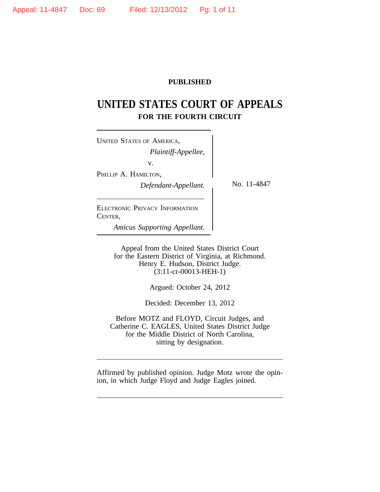# **PUBLISHED**

# **UNITED STATES COURT OF APPEALS FOR THE FOURTH CIRCUIT**

<sup>U</sup>NITED STATES OF AMERICA, *Plaintiff-Appellee,* v. PHILLIP A. HAMILTON, *Defendant-Appellant.* No. 11-4847

ELECTRONIC PRIVACY INFORMATION CENTER,

*Amicus Supporting Appellant.*

Appeal from the United States District Court for the Eastern District of Virginia, at Richmond. Henry E. Hudson, District Judge. (3:11-cr-00013-HEH-1)

Argued: October 24, 2012

Decided: December 13, 2012

Before MOTZ and FLOYD, Circuit Judges, and Catherine C. EAGLES, United States District Judge for the Middle District of North Carolina, sitting by designation.

Affirmed by published opinion. Judge Motz wrote the opinion, in which Judge Floyd and Judge Eagles joined.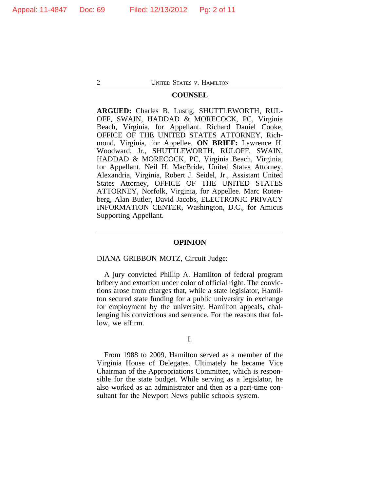### **COUNSEL**

**ARGUED:** Charles B. Lustig, SHUTTLEWORTH, RUL-OFF, SWAIN, HADDAD & MORECOCK, PC, Virginia Beach, Virginia, for Appellant. Richard Daniel Cooke, OFFICE OF THE UNITED STATES ATTORNEY, Richmond, Virginia, for Appellee. **ON BRIEF:** Lawrence H. Woodward, Jr., SHUTTLEWORTH, RULOFF, SWAIN, HADDAD & MORECOCK, PC, Virginia Beach, Virginia, for Appellant. Neil H. MacBride, United States Attorney, Alexandria, Virginia, Robert J. Seidel, Jr., Assistant United States Attorney, OFFICE OF THE UNITED STATES ATTORNEY, Norfolk, Virginia, for Appellee. Marc Rotenberg, Alan Butler, David Jacobs, ELECTRONIC PRIVACY INFORMATION CENTER, Washington, D.C., for Amicus Supporting Appellant.

#### **OPINION**

#### DIANA GRIBBON MOTZ, Circuit Judge:

A jury convicted Phillip A. Hamilton of federal program bribery and extortion under color of official right. The convictions arose from charges that, while a state legislator, Hamilton secured state funding for a public university in exchange for employment by the university. Hamilton appeals, challenging his convictions and sentence. For the reasons that follow, we affirm.

### I.

From 1988 to 2009, Hamilton served as a member of the Virginia House of Delegates. Ultimately he became Vice Chairman of the Appropriations Committee, which is responsible for the state budget. While serving as a legislator, he also worked as an administrator and then as a part-time consultant for the Newport News public schools system.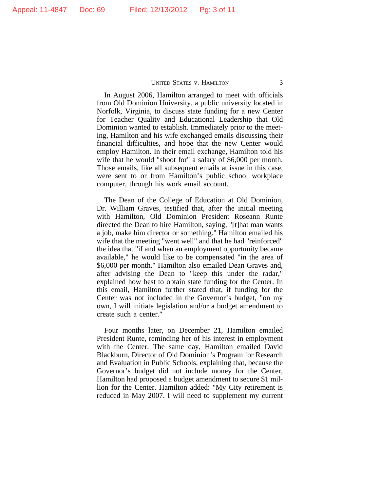In August 2006, Hamilton arranged to meet with officials from Old Dominion University, a public university located in Norfolk, Virginia, to discuss state funding for a new Center for Teacher Quality and Educational Leadership that Old Dominion wanted to establish. Immediately prior to the meeting, Hamilton and his wife exchanged emails discussing their financial difficulties, and hope that the new Center would employ Hamilton. In their email exchange, Hamilton told his wife that he would "shoot for" a salary of \$6,000 per month. Those emails, like all subsequent emails at issue in this case, were sent to or from Hamilton's public school workplace computer, through his work email account.

The Dean of the College of Education at Old Dominion, Dr. William Graves, testified that, after the initial meeting with Hamilton, Old Dominion President Roseann Runte directed the Dean to hire Hamilton, saying, "[t]hat man wants a job, make him director or something." Hamilton emailed his wife that the meeting "went well" and that he had "reinforced" the idea that "if and when an employment opportunity became available," he would like to be compensated "in the area of \$6,000 per month." Hamilton also emailed Dean Graves and, after advising the Dean to "keep this under the radar," explained how best to obtain state funding for the Center. In this email, Hamilton further stated that, if funding for the Center was not included in the Governor's budget, "on my own, I will initiate legislation and/or a budget amendment to create such a center."

Four months later, on December 21, Hamilton emailed President Runte, reminding her of his interest in employment with the Center. The same day, Hamilton emailed David Blackburn, Director of Old Dominion's Program for Research and Evaluation in Public Schools, explaining that, because the Governor's budget did not include money for the Center, Hamilton had proposed a budget amendment to secure \$1 million for the Center. Hamilton added: "My City retirement is reduced in May 2007. I will need to supplement my current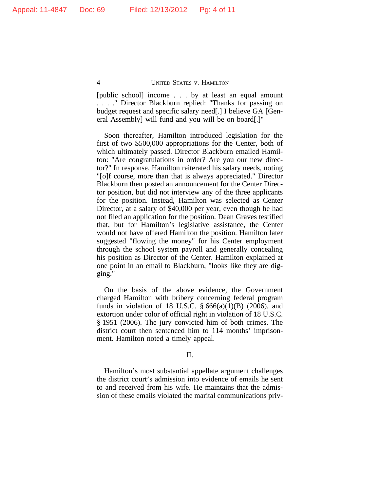[public school] income . . . by at least an equal amount . . . ." Director Blackburn replied: "Thanks for passing on budget request and specific salary need[.] I believe GA [General Assembly] will fund and you will be on board[.]"

Soon thereafter, Hamilton introduced legislation for the first of two \$500,000 appropriations for the Center, both of which ultimately passed. Director Blackburn emailed Hamilton: "Are congratulations in order? Are you our new director?" In response, Hamilton reiterated his salary needs, noting "[o]f course, more than that is always appreciated." Director Blackburn then posted an announcement for the Center Director position, but did not interview any of the three applicants for the position. Instead, Hamilton was selected as Center Director, at a salary of \$40,000 per year, even though he had not filed an application for the position. Dean Graves testified that, but for Hamilton's legislative assistance, the Center would not have offered Hamilton the position. Hamilton later suggested "flowing the money" for his Center employment through the school system payroll and generally concealing his position as Director of the Center. Hamilton explained at one point in an email to Blackburn, "looks like they are digging."

On the basis of the above evidence, the Government charged Hamilton with bribery concerning federal program funds in violation of 18 U.S.C.  $\S 666(a)(1)(B)$  (2006), and extortion under color of official right in violation of 18 U.S.C. § 1951 (2006). The jury convicted him of both crimes. The district court then sentenced him to 114 months' imprisonment. Hamilton noted a timely appeal.

# II.

Hamilton's most substantial appellate argument challenges the district court's admission into evidence of emails he sent to and received from his wife. He maintains that the admission of these emails violated the marital communications priv-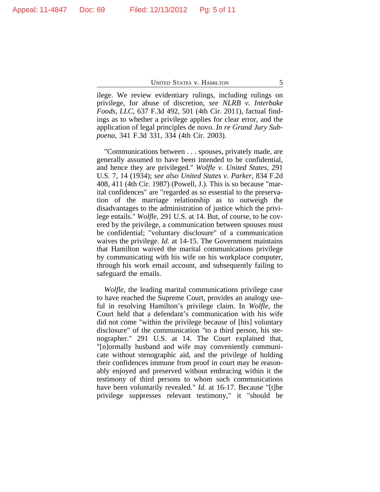ilege. We review evidentiary rulings, including rulings on privilege, for abuse of discretion, *see NLRB v. Interbake Foods, LLC*, 637 F.3d 492, 501 (4th Cir. 2011), factual findings as to whether a privilege applies for clear error, and the application of legal principles de novo. *In re Grand Jury Subpoena*, 341 F.3d 331, 334 (4th Cir. 2003).

"Communications between . . . spouses, privately made, are generally assumed to have been intended to be confidential, and hence they are privileged." *Wolfle v. United States*, 291 U.S. 7, 14 (1934); *see also United States v. Parker*, 834 F.2d 408, 411 (4th Cir. 1987) (Powell, J.). This is so because "marital confidences" are "regarded as so essential to the preservation of the marriage relationship as to outweigh the disadvantages to the administration of justice which the privilege entails." *Wolfle*, 291 U.S. at 14. But, of course, to be covered by the privilege, a communication between spouses must be confidential; "voluntary disclosure" of a communication waives the privilege. *Id.* at 14-15. The Government maintains that Hamilton waived the marital communications privilege by communicating with his wife on his workplace computer, through his work email account, and subsequently failing to safeguard the emails.

*Wolfle*, the leading marital communications privilege case to have reached the Supreme Court, provides an analogy useful in resolving Hamilton's privilege claim. In *Wolfle*, the Court held that a defendant's communication with his wife did not come "within the privilege because of [his] voluntary disclosure" of the communication "to a third person, his stenographer." 291 U.S. at 14. The Court explained that, "[n]ormally husband and wife may conveniently communicate without stenographic aid, and the privilege of holding their confidences immune from proof in court may be reasonably enjoyed and preserved without embracing within it the testimony of third persons to whom such communications have been voluntarily revealed." *Id.* at 16-17. Because "[t]he privilege suppresses relevant testimony," it "should be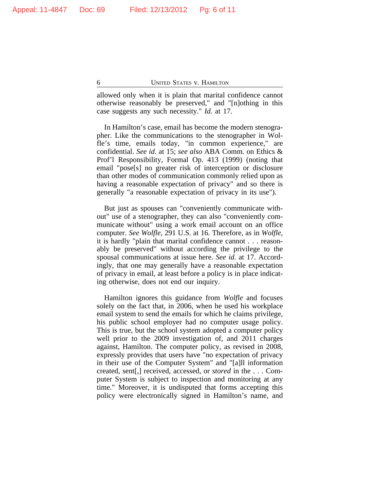allowed only when it is plain that marital confidence cannot otherwise reasonably be preserved," and "[n]othing in this case suggests any such necessity." *Id.* at 17.

In Hamilton's case, email has become the modern stenographer. Like the communications to the stenographer in Wolfle's time, emails today, "in common experience," are confidential. *See id.* at 15; *see also* ABA Comm. on Ethics & Prof'l Responsibility, Formal Op. 413 (1999) (noting that email "pose[s] no greater risk of interception or disclosure than other modes of communication commonly relied upon as having a reasonable expectation of privacy" and so there is generally "a reasonable expectation of privacy in its use").

But just as spouses can "conveniently communicate without" use of a stenographer, they can also "conveniently communicate without" using a work email account on an office computer. *See Wolfle*, 291 U.S. at 16. Therefore, as in *Wolfle*, it is hardly "plain that marital confidence cannot . . . reasonably be preserved" without according the privilege to the spousal communications at issue here. *See id.* at 17. Accordingly, that one may generally have a reasonable expectation of privacy in email, at least before a policy is in place indicating otherwise, does not end our inquiry.

Hamilton ignores this guidance from *Wolfle* and focuses solely on the fact that, in 2006, when he used his workplace email system to send the emails for which he claims privilege, his public school employer had no computer usage policy. This is true, but the school system adopted a computer policy well prior to the 2009 investigation of, and 2011 charges against, Hamilton. The computer policy, as revised in 2008, expressly provides that users have "no expectation of privacy in their use of the Computer System" and "[a]ll information created, sent[,] received, accessed, or *stored* in the . . . Computer System is subject to inspection and monitoring at any time." Moreover, it is undisputed that forms accepting this policy were electronically signed in Hamilton's name, and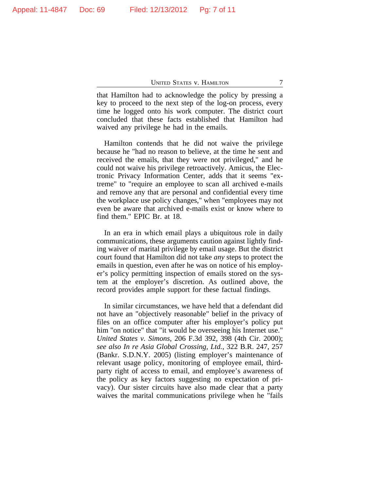that Hamilton had to acknowledge the policy by pressing a key to proceed to the next step of the log-on process, every time he logged onto his work computer. The district court concluded that these facts established that Hamilton had waived any privilege he had in the emails.

Hamilton contends that he did not waive the privilege because he "had no reason to believe, at the time he sent and received the emails, that they were not privileged," and he could not waive his privilege retroactively. Amicus, the Electronic Privacy Information Center, adds that it seems "extreme" to "require an employee to scan all archived e-mails and remove any that are personal and confidential every time the workplace use policy changes," when "employees may not even be aware that archived e-mails exist or know where to find them." EPIC Br. at 18.

In an era in which email plays a ubiquitous role in daily communications, these arguments caution against lightly finding waiver of marital privilege by email usage. But the district court found that Hamilton did not take *any* steps to protect the emails in question, even after he was on notice of his employer's policy permitting inspection of emails stored on the system at the employer's discretion. As outlined above, the record provides ample support for these factual findings.

In similar circumstances, we have held that a defendant did not have an "objectively reasonable" belief in the privacy of files on an office computer after his employer's policy put him "on notice" that "it would be overseeing his Internet use." *United States v. Simons*, 206 F.3d 392, 398 (4th Cir. 2000); *see also In re Asia Global Crossing, Ltd.*, 322 B.R. 247, 257 (Bankr. S.D.N.Y. 2005) (listing employer's maintenance of relevant usage policy, monitoring of employee email, thirdparty right of access to email, and employee's awareness of the policy as key factors suggesting no expectation of privacy). Our sister circuits have also made clear that a party waives the marital communications privilege when he "fails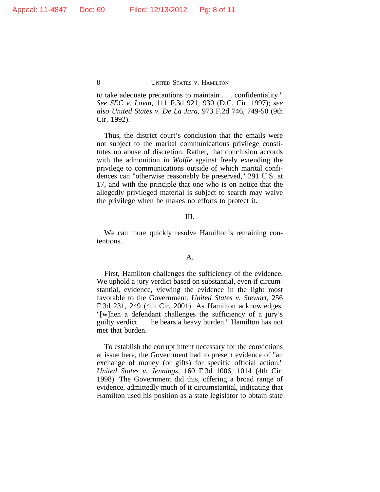Appeal: 11-4847 Doc: 69 Filed: 12/13/2012 Pg: 8 of 11

8 UNITED STATES V. HAMILTON

to take adequate precautions to maintain . . . confidentiality." *See SEC v. Lavin*, 111 F.3d 921, 930 (D.C. Cir. 1997); *see also United States v. De La Jara*, 973 F.2d 746, 749-50 (9th Cir. 1992).

Thus, the district court's conclusion that the emails were not subject to the marital communications privilege constitutes no abuse of discretion. Rather, that conclusion accords with the admonition in *Wolfle* against freely extending the privilege to communications outside of which marital confidences can "otherwise reasonably be preserved," 291 U.S. at 17, and with the principle that one who is on notice that the allegedly privileged material is subject to search may waive the privilege when he makes no efforts to protect it.

#### III.

We can more quickly resolve Hamilton's remaining contentions.

#### A.

First, Hamilton challenges the sufficiency of the evidence. We uphold a jury verdict based on substantial, even if circumstantial, evidence, viewing the evidence in the light most favorable to the Government. *United States v. Stewart*, 256 F.3d 231, 249 (4th Cir. 2001). As Hamilton acknowledges, "[w]hen a defendant challenges the sufficiency of a jury's guilty verdict . . . he bears a heavy burden." Hamilton has not met that burden.

To establish the corrupt intent necessary for the convictions at issue here, the Government had to present evidence of "an exchange of money (or gifts) for specific official action." *United States v. Jennings*, 160 F.3d 1006, 1014 (4th Cir. 1998). The Government did this, offering a broad range of evidence, admittedly much of it circumstantial, indicating that Hamilton used his position as a state legislator to obtain state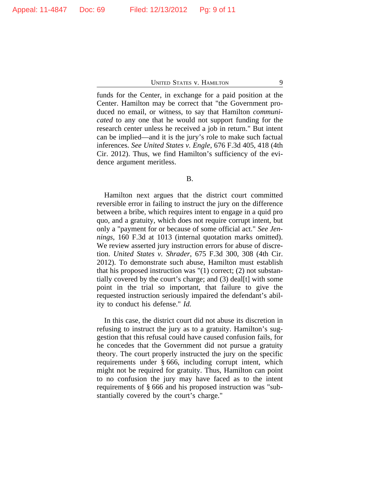funds for the Center, in exchange for a paid position at the Center. Hamilton may be correct that "the Government produced no email, or witness, to say that Hamilton *communicated* to any one that he would not support funding for the research center unless he received a job in return." But intent can be implied—and it is the jury's role to make such factual inferences. *See United States v. Engle*, 676 F.3d 405, 418 (4th Cir. 2012). Thus, we find Hamilton's sufficiency of the evidence argument meritless.

#### B.

Hamilton next argues that the district court committed reversible error in failing to instruct the jury on the difference between a bribe, which requires intent to engage in a quid pro quo, and a gratuity, which does not require corrupt intent, but only a "payment for or because of some official act." *See Jennings*, 160 F.3d at 1013 (internal quotation marks omitted). We review asserted jury instruction errors for abuse of discretion. *United States v. Shrader*, 675 F.3d 300, 308 (4th Cir. 2012). To demonstrate such abuse, Hamilton must establish that his proposed instruction was "(1) correct; (2) not substantially covered by the court's charge; and (3) deal[t] with some point in the trial so important, that failure to give the requested instruction seriously impaired the defendant's ability to conduct his defense." *Id.*

In this case, the district court did not abuse its discretion in refusing to instruct the jury as to a gratuity. Hamilton's suggestion that this refusal could have caused confusion fails, for he concedes that the Government did not pursue a gratuity theory. The court properly instructed the jury on the specific requirements under § 666, including corrupt intent, which might not be required for gratuity. Thus, Hamilton can point to no confusion the jury may have faced as to the intent requirements of § 666 and his proposed instruction was "substantially covered by the court's charge."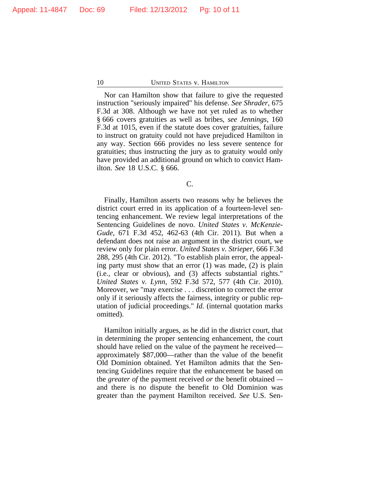Nor can Hamilton show that failure to give the requested instruction "seriously impaired" his defense. *See Shrader*, 675 F.3d at 308. Although we have not yet ruled as to whether § 666 covers gratuities as well as bribes, *see Jennings*, 160 F.3d at 1015, even if the statute does cover gratuities, failure to instruct on gratuity could not have prejudiced Hamilton in any way. Section 666 provides no less severe sentence for gratuities; thus instructing the jury as to gratuity would only have provided an additional ground on which to convict Hamilton. *See* 18 U.S.C. § 666.

C.

Finally, Hamilton asserts two reasons why he believes the district court erred in its application of a fourteen-level sentencing enhancement. We review legal interpretations of the Sentencing Guidelines de novo. *United States v. McKenzie-Gude*, 671 F.3d 452, 462-63 (4th Cir. 2011). But when a defendant does not raise an argument in the district court, we review only for plain error. *United States v. Strieper*, 666 F.3d 288, 295 (4th Cir. 2012). "To establish plain error, the appealing party must show that an error (1) was made, (2) is plain (i.e., clear or obvious), and (3) affects substantial rights." *United States v. Lynn*, 592 F.3d 572, 577 (4th Cir. 2010). Moreover, we "may exercise . . . discretion to correct the error only if it seriously affects the fairness, integrity or public reputation of judicial proceedings." *Id.* (internal quotation marks omitted).

Hamilton initially argues, as he did in the district court, that in determining the proper sentencing enhancement, the court should have relied on the value of the payment he received approximately \$87,000—rather than the value of the benefit Old Dominion obtained. Yet Hamilton admits that the Sentencing Guidelines require that the enhancement be based on the *greater of* the payment received *or* the benefit obtained – and there is no dispute the benefit to Old Dominion was greater than the payment Hamilton received. *See* U.S. Sen-